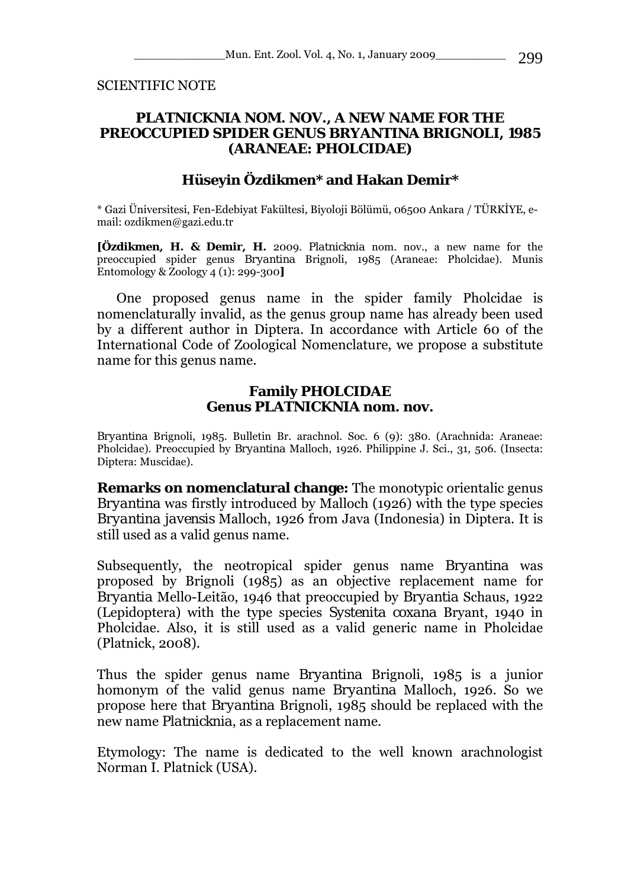SCIENTIFIC NOTE

## *PLATNICKNIA* **NOM. NOV., A NEW NAME FOR THE PREOCCUPIED SPIDER GENUS** *BRYANTINA* **BRIGNOLI, 1985 (ARANEAE: PHOLCIDAE)**

## **Hüseyin Özdikmen\* and Hakan Demir\***

\* Gazi Üniversitesi, Fen-Edebiyat Fakültesi, Biyoloji Bölümü, 06500 Ankara / TÜRKİYE, email: ozdikmen@gazi.edu.tr

**[Özdikmen, H. & Demir, H.** 2009. *Platnicknia* nom. nov., a new name for the preoccupied spider genus *Bryantina* Brignoli, 1985 (Araneae: Pholcidae). Munis Entomology & Zoology 4 (1): 299-300**]**

One proposed genus name in the spider family Pholcidae is nomenclaturally invalid, as the genus group name has already been used by a different author in Diptera. In accordance with Article 60 of the International Code of Zoological Nomenclature, we propose a substitute name for this genus name.

## **Family PHOLCIDAE Genus** *PLATNICKNIA* **nom. nov.**

*Bryantina* Brignoli, 1985. Bulletin Br. arachnol. Soc. 6 (9): 380. (Arachnida: Araneae: Pholcidae). Preoccupied by *Bryantina* Malloch, 1926. Philippine J. Sci., 31, 506. (Insecta: Diptera: Muscidae).

**Remarks on nomenclatural change:** The monotypic orientalic genus *Bryantina* was firstly introduced by Malloch (1926) with the type species *Bryantina javensis* Malloch, 1926 from Java (Indonesia) in Diptera. It is still used as a valid genus name.

Subsequently, the neotropical spider genus name *Bryantina* was proposed by Brignoli (1985) as an objective replacement name for *Bryantia* Mello-Leitão, 1946 that preoccupied by *Bryantia* Schaus, 1922 (Lepidoptera) with the type species *Systenita coxana* Bryant, 1940 in Pholcidae. Also, it is still used as a valid generic name in Pholcidae (Platnick, 2008).

Thus the spider genus name *Bryantina* Brignoli, 1985 is a junior homonym of the valid genus name *Bryantina* Malloch, 1926. So we propose here that *Bryantina* Brignoli, 1985 should be replaced with the new name *Platnicknia*, as a replacement name.

Etymology: The name is dedicated to the well known arachnologist Norman I. Platnick (USA).